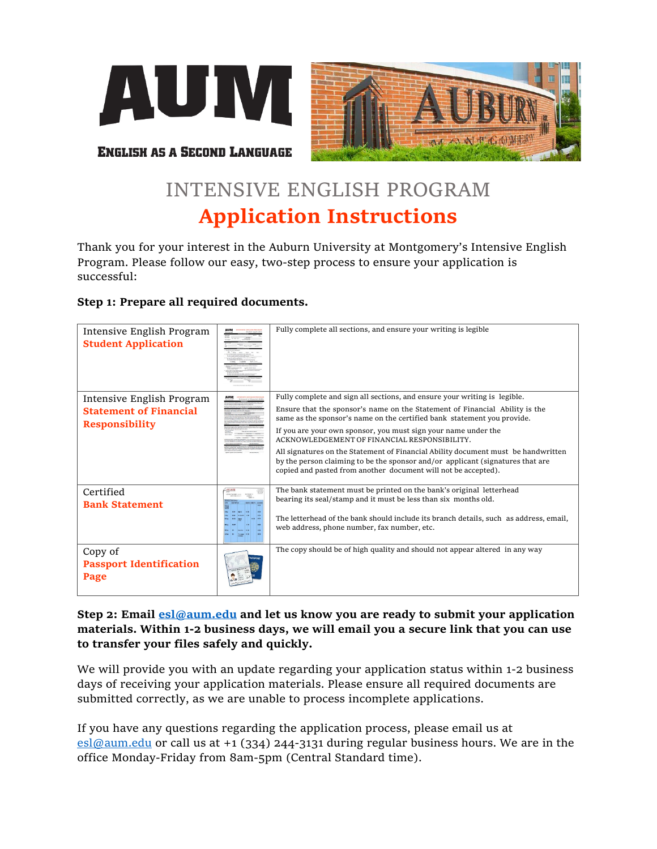



**ENGLISH AS A SECOND LANGUAGE** 

# INTENSIVE ENGLISH PROGRAM **Application Instructions**

Thank you for your interest in the Auburn University at Montgomery's Intensive English Program. Please follow our easy, two-step process to ensure your application is successful:

# **Step 1: Prepare all required documents.**

| Intensive English Program<br><b>Student Application</b>                             | Fully complete all sections, and ensure your writing is legible                                                                                                                                                                                                                                                                                                                                                                                                                                                                                                                                |
|-------------------------------------------------------------------------------------|------------------------------------------------------------------------------------------------------------------------------------------------------------------------------------------------------------------------------------------------------------------------------------------------------------------------------------------------------------------------------------------------------------------------------------------------------------------------------------------------------------------------------------------------------------------------------------------------|
| Intensive English Program<br><b>Statement of Financial</b><br><b>Responsibility</b> | Fully complete and sign all sections, and ensure your writing is legible.<br>Ensure that the sponsor's name on the Statement of Financial Ability is the<br>same as the sponsor's name on the certified bank statement you provide.<br>If you are your own sponsor, you must sign your name under the<br>ACKNOWLEDGEMENT OF FINANCIAL RESPONSIBILITY.<br>All signatures on the Statement of Financial Ability document must be handwritten<br>by the person claiming to be the sponsor and/or applicant (signatures that are<br>copied and pasted from another document will not be accepted). |
| Certified<br><b>Bank Statement</b>                                                  | The bank statement must be printed on the bank's original letterhead<br>bearing its seal/stamp and it must be less than six months old.<br>The letterhead of the bank should include its branch details, such as address, email,<br>web address, phone number, fax number, etc.                                                                                                                                                                                                                                                                                                                |
| Copy of<br><b>Passport Identification</b><br>Page                                   | The copy should be of high quality and should not appear altered in any way                                                                                                                                                                                                                                                                                                                                                                                                                                                                                                                    |

# **Step 2: Email [esl@aum.edu](mailto:esl@aum.edu) and let us know you are ready to submit your application materials. Within 1-2 business days, we will email you a secure link that you can use to transfer your files safely and quickly.**

We will provide you with an update regarding your application status within 1-2 business days of receiving your application materials. Please ensure all required documents are submitted correctly, as we are unable to process incomplete applications.

If you have any questions regarding the application process, please email us at [esl@aum.edu](mailto:esl@aum.edu) or call us at +1 (334) 244-3131 during regular business hours. We are in the office Monday-Friday from 8am-5pm (Central Standard time).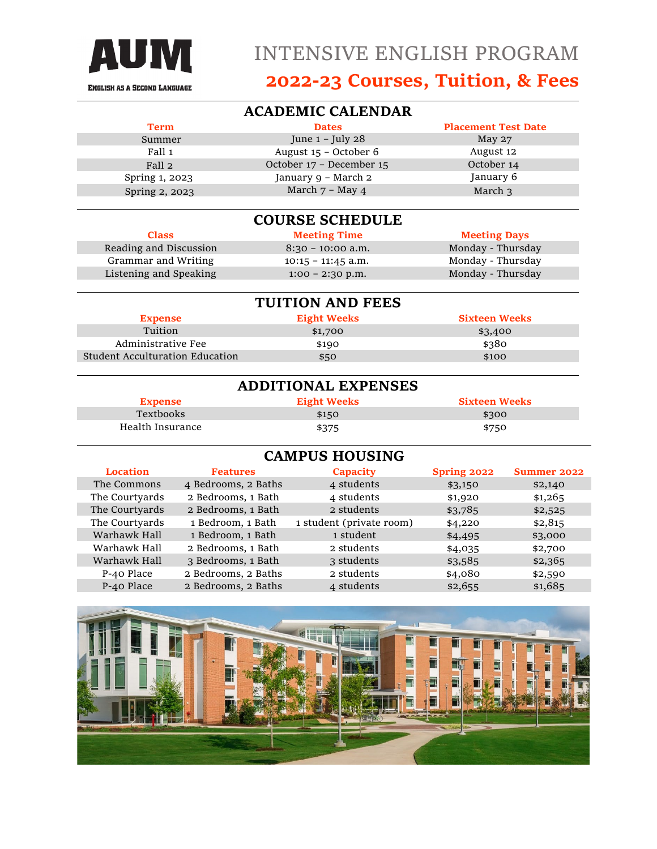

# **ACADEMIC CALENDAR**

| <b>Term</b>    | <b>Dates</b>             | <b>Placement Test Date</b> |
|----------------|--------------------------|----------------------------|
| Summer         | June $1$ – July 28       | May 27                     |
| Fall 1         | August 15 - October 6    | August 12                  |
| Fall 2         | October 17 - December 15 | October 14                 |
| Spring 1, 2023 | January 9 - March 2      | January 6                  |
| Spring 2, 2023 | March $7 - May 4$        | March 3                    |

### **COURSE SCHEDULE**

**Class Meeting Time Meeting Days** Reading and Discussion 8:30 - 10:00 a.m. Monday - Thursday Grammar and Writing 10:15 – 11:45 a.m. 10:15 Monday - Thursday<br>Listening and Speaking 1:00 – 2:30 p.m. 1:00 Monday - Thursday Listening and Speaking  $1:00 - 2:30$  p.m.

| <b>TUITION AND FEES</b>                |                    |                      |  |
|----------------------------------------|--------------------|----------------------|--|
| <b>Expense</b>                         | <b>Eight Weeks</b> | <b>Sixteen Weeks</b> |  |
| Tuition                                | \$1,700            | \$3,400              |  |
| Administrative Fee                     | \$190              | \$380                |  |
| <b>Student Acculturation Education</b> | \$50               | \$100                |  |

|                  | <b>ADDITIONAL EXPENSES</b> |                      |
|------------------|----------------------------|----------------------|
| <b>Expense</b>   | <b>Eight Weeks</b>         | <b>Sixteen Weeks</b> |
| Textbooks        | \$150                      | \$300                |
| Health Insurance | \$375                      | \$750                |

| <b>CAMPUS HOUSING</b> |                     |                          |             |                    |
|-----------------------|---------------------|--------------------------|-------------|--------------------|
| <b>Location</b>       | <b>Features</b>     | <b>Capacity</b>          | Spring 2022 | <b>Summer 2022</b> |
| The Commons           | 4 Bedrooms, 2 Baths | 4 students               | \$3,150     | \$2,140            |
| The Courtyards        | 2 Bedrooms, 1 Bath  | 4 students               | \$1,920     | \$1,265            |
| The Courtyards        | 2 Bedrooms, 1 Bath  | 2 students               | \$3,785     | \$2,525            |
| The Courtyards        | 1 Bedroom, 1 Bath   | 1 student (private room) | \$4,220     | \$2,815            |
| Warhawk Hall          | 1 Bedroom, 1 Bath   | 1 student                | \$4,495     | \$3,000            |
| Warhawk Hall          | 2 Bedrooms, 1 Bath  | 2 students               | \$4,035     | \$2,700            |
| Warhawk Hall          | 3 Bedrooms, 1 Bath  | 3 students               | \$3,585     | \$2,365            |
| P-40 Place            | 2 Bedrooms, 2 Baths | 2 students               | \$4,080     | \$2,590            |
| P-40 Place            | 2 Bedrooms, 2 Baths | 4 students               | \$2,655     | \$1,685            |

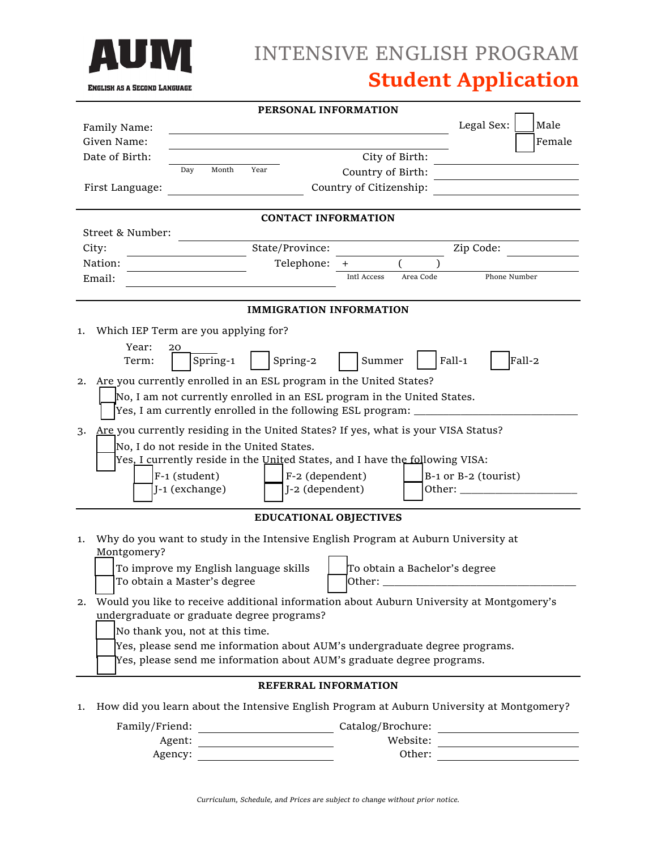

# INTENSIVE ENGLISH PROGRAM **Student Application**

| Legal Sex:<br>Male<br>Family Name:<br>Given Name:<br>Female<br>Date of Birth:<br>City of Birth:<br>Day<br>Month<br>Year<br>Country of Birth:<br>Country of Citizenship:<br>First Language:<br><b>CONTACT INFORMATION</b><br>Street & Number:<br>State/Province:<br>City:<br>Zip Code:<br>Telephone:<br>Nation:<br>$\ddot{}$<br>Phone Number<br>Intl Access<br>Area Code<br>Email:<br><b>IMMIGRATION INFORMATION</b><br>Which IEP Term are you applying for?<br>1.<br>Year:<br>20<br>Fall-1<br>Fall-2<br>Spring-1<br>Spring-2<br>Summer<br>Term:<br>Are you currently enrolled in an ESL program in the United States?<br>2.<br>No, I am not currently enrolled in an ESL program in the United States.<br>Yes, I am currently enrolled in the following ESL program:<br>Are you currently residing in the United States? If yes, what is your VISA Status?<br>3.<br>No, I do not reside in the United States.<br>Yes, I currently reside in the United States, and I have the following VISA:<br>F-1 (student)<br>F-2 (dependent)<br>$B-1$ or $B-2$ (tourist)<br>J-1 (exchange)<br>J-2 (dependent)<br>Other: $\_\_$<br><b>EDUCATIONAL OBJECTIVES</b><br>Why do you want to study in the Intensive English Program at Auburn University at<br>1.<br>Montgomery?<br>To improve my English language skills<br>To obtain a Bachelor's degree<br>To obtain a Master's degree<br>Other:<br>Would you like to receive additional information about Auburn University at Montgomery's<br>2.<br>undergraduate or graduate degree programs? | PERSONAL INFORMATION |  |  |  |  |
|-----------------------------------------------------------------------------------------------------------------------------------------------------------------------------------------------------------------------------------------------------------------------------------------------------------------------------------------------------------------------------------------------------------------------------------------------------------------------------------------------------------------------------------------------------------------------------------------------------------------------------------------------------------------------------------------------------------------------------------------------------------------------------------------------------------------------------------------------------------------------------------------------------------------------------------------------------------------------------------------------------------------------------------------------------------------------------------------------------------------------------------------------------------------------------------------------------------------------------------------------------------------------------------------------------------------------------------------------------------------------------------------------------------------------------------------------------------------------------------------------------------------------------------|----------------------|--|--|--|--|
|                                                                                                                                                                                                                                                                                                                                                                                                                                                                                                                                                                                                                                                                                                                                                                                                                                                                                                                                                                                                                                                                                                                                                                                                                                                                                                                                                                                                                                                                                                                                   |                      |  |  |  |  |
|                                                                                                                                                                                                                                                                                                                                                                                                                                                                                                                                                                                                                                                                                                                                                                                                                                                                                                                                                                                                                                                                                                                                                                                                                                                                                                                                                                                                                                                                                                                                   |                      |  |  |  |  |
|                                                                                                                                                                                                                                                                                                                                                                                                                                                                                                                                                                                                                                                                                                                                                                                                                                                                                                                                                                                                                                                                                                                                                                                                                                                                                                                                                                                                                                                                                                                                   |                      |  |  |  |  |
|                                                                                                                                                                                                                                                                                                                                                                                                                                                                                                                                                                                                                                                                                                                                                                                                                                                                                                                                                                                                                                                                                                                                                                                                                                                                                                                                                                                                                                                                                                                                   |                      |  |  |  |  |
|                                                                                                                                                                                                                                                                                                                                                                                                                                                                                                                                                                                                                                                                                                                                                                                                                                                                                                                                                                                                                                                                                                                                                                                                                                                                                                                                                                                                                                                                                                                                   |                      |  |  |  |  |
|                                                                                                                                                                                                                                                                                                                                                                                                                                                                                                                                                                                                                                                                                                                                                                                                                                                                                                                                                                                                                                                                                                                                                                                                                                                                                                                                                                                                                                                                                                                                   |                      |  |  |  |  |
|                                                                                                                                                                                                                                                                                                                                                                                                                                                                                                                                                                                                                                                                                                                                                                                                                                                                                                                                                                                                                                                                                                                                                                                                                                                                                                                                                                                                                                                                                                                                   |                      |  |  |  |  |
|                                                                                                                                                                                                                                                                                                                                                                                                                                                                                                                                                                                                                                                                                                                                                                                                                                                                                                                                                                                                                                                                                                                                                                                                                                                                                                                                                                                                                                                                                                                                   |                      |  |  |  |  |
|                                                                                                                                                                                                                                                                                                                                                                                                                                                                                                                                                                                                                                                                                                                                                                                                                                                                                                                                                                                                                                                                                                                                                                                                                                                                                                                                                                                                                                                                                                                                   |                      |  |  |  |  |
|                                                                                                                                                                                                                                                                                                                                                                                                                                                                                                                                                                                                                                                                                                                                                                                                                                                                                                                                                                                                                                                                                                                                                                                                                                                                                                                                                                                                                                                                                                                                   |                      |  |  |  |  |
|                                                                                                                                                                                                                                                                                                                                                                                                                                                                                                                                                                                                                                                                                                                                                                                                                                                                                                                                                                                                                                                                                                                                                                                                                                                                                                                                                                                                                                                                                                                                   |                      |  |  |  |  |
|                                                                                                                                                                                                                                                                                                                                                                                                                                                                                                                                                                                                                                                                                                                                                                                                                                                                                                                                                                                                                                                                                                                                                                                                                                                                                                                                                                                                                                                                                                                                   |                      |  |  |  |  |
|                                                                                                                                                                                                                                                                                                                                                                                                                                                                                                                                                                                                                                                                                                                                                                                                                                                                                                                                                                                                                                                                                                                                                                                                                                                                                                                                                                                                                                                                                                                                   |                      |  |  |  |  |
|                                                                                                                                                                                                                                                                                                                                                                                                                                                                                                                                                                                                                                                                                                                                                                                                                                                                                                                                                                                                                                                                                                                                                                                                                                                                                                                                                                                                                                                                                                                                   |                      |  |  |  |  |
|                                                                                                                                                                                                                                                                                                                                                                                                                                                                                                                                                                                                                                                                                                                                                                                                                                                                                                                                                                                                                                                                                                                                                                                                                                                                                                                                                                                                                                                                                                                                   |                      |  |  |  |  |
|                                                                                                                                                                                                                                                                                                                                                                                                                                                                                                                                                                                                                                                                                                                                                                                                                                                                                                                                                                                                                                                                                                                                                                                                                                                                                                                                                                                                                                                                                                                                   |                      |  |  |  |  |
|                                                                                                                                                                                                                                                                                                                                                                                                                                                                                                                                                                                                                                                                                                                                                                                                                                                                                                                                                                                                                                                                                                                                                                                                                                                                                                                                                                                                                                                                                                                                   |                      |  |  |  |  |
|                                                                                                                                                                                                                                                                                                                                                                                                                                                                                                                                                                                                                                                                                                                                                                                                                                                                                                                                                                                                                                                                                                                                                                                                                                                                                                                                                                                                                                                                                                                                   |                      |  |  |  |  |
|                                                                                                                                                                                                                                                                                                                                                                                                                                                                                                                                                                                                                                                                                                                                                                                                                                                                                                                                                                                                                                                                                                                                                                                                                                                                                                                                                                                                                                                                                                                                   |                      |  |  |  |  |
|                                                                                                                                                                                                                                                                                                                                                                                                                                                                                                                                                                                                                                                                                                                                                                                                                                                                                                                                                                                                                                                                                                                                                                                                                                                                                                                                                                                                                                                                                                                                   |                      |  |  |  |  |
|                                                                                                                                                                                                                                                                                                                                                                                                                                                                                                                                                                                                                                                                                                                                                                                                                                                                                                                                                                                                                                                                                                                                                                                                                                                                                                                                                                                                                                                                                                                                   |                      |  |  |  |  |
|                                                                                                                                                                                                                                                                                                                                                                                                                                                                                                                                                                                                                                                                                                                                                                                                                                                                                                                                                                                                                                                                                                                                                                                                                                                                                                                                                                                                                                                                                                                                   |                      |  |  |  |  |
|                                                                                                                                                                                                                                                                                                                                                                                                                                                                                                                                                                                                                                                                                                                                                                                                                                                                                                                                                                                                                                                                                                                                                                                                                                                                                                                                                                                                                                                                                                                                   |                      |  |  |  |  |
|                                                                                                                                                                                                                                                                                                                                                                                                                                                                                                                                                                                                                                                                                                                                                                                                                                                                                                                                                                                                                                                                                                                                                                                                                                                                                                                                                                                                                                                                                                                                   |                      |  |  |  |  |
|                                                                                                                                                                                                                                                                                                                                                                                                                                                                                                                                                                                                                                                                                                                                                                                                                                                                                                                                                                                                                                                                                                                                                                                                                                                                                                                                                                                                                                                                                                                                   |                      |  |  |  |  |
|                                                                                                                                                                                                                                                                                                                                                                                                                                                                                                                                                                                                                                                                                                                                                                                                                                                                                                                                                                                                                                                                                                                                                                                                                                                                                                                                                                                                                                                                                                                                   |                      |  |  |  |  |
|                                                                                                                                                                                                                                                                                                                                                                                                                                                                                                                                                                                                                                                                                                                                                                                                                                                                                                                                                                                                                                                                                                                                                                                                                                                                                                                                                                                                                                                                                                                                   |                      |  |  |  |  |
|                                                                                                                                                                                                                                                                                                                                                                                                                                                                                                                                                                                                                                                                                                                                                                                                                                                                                                                                                                                                                                                                                                                                                                                                                                                                                                                                                                                                                                                                                                                                   |                      |  |  |  |  |
|                                                                                                                                                                                                                                                                                                                                                                                                                                                                                                                                                                                                                                                                                                                                                                                                                                                                                                                                                                                                                                                                                                                                                                                                                                                                                                                                                                                                                                                                                                                                   |                      |  |  |  |  |
| No thank you, not at this time.                                                                                                                                                                                                                                                                                                                                                                                                                                                                                                                                                                                                                                                                                                                                                                                                                                                                                                                                                                                                                                                                                                                                                                                                                                                                                                                                                                                                                                                                                                   |                      |  |  |  |  |
| Yes, please send me information about AUM's undergraduate degree programs.                                                                                                                                                                                                                                                                                                                                                                                                                                                                                                                                                                                                                                                                                                                                                                                                                                                                                                                                                                                                                                                                                                                                                                                                                                                                                                                                                                                                                                                        |                      |  |  |  |  |
| Yes, please send me information about AUM's graduate degree programs.                                                                                                                                                                                                                                                                                                                                                                                                                                                                                                                                                                                                                                                                                                                                                                                                                                                                                                                                                                                                                                                                                                                                                                                                                                                                                                                                                                                                                                                             |                      |  |  |  |  |
| REFERRAL INFORMATION                                                                                                                                                                                                                                                                                                                                                                                                                                                                                                                                                                                                                                                                                                                                                                                                                                                                                                                                                                                                                                                                                                                                                                                                                                                                                                                                                                                                                                                                                                              |                      |  |  |  |  |

1. How did you learn about the Intensive English Program at Auburn University at Montgomery?

| Catalog/Brochure: |
|-------------------|
| Website:          |
| Other:            |
|                   |